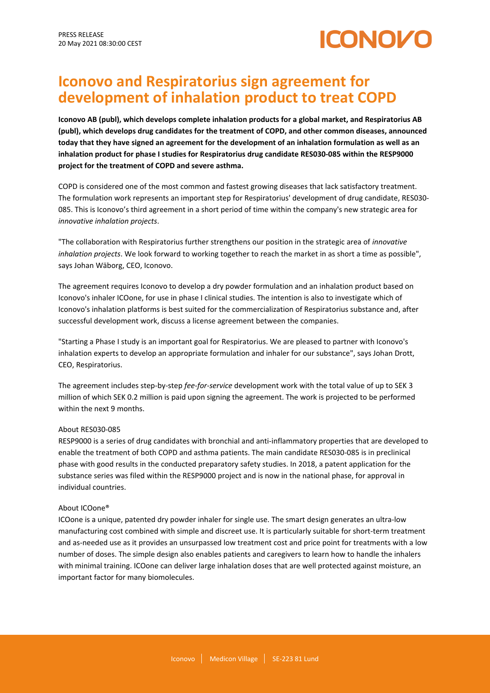# ICONOZ

# **Iconovo and Respiratorius sign agreement for development of inhalation product to treat COPD**

**Iconovo AB (publ), which develops complete inhalation products for a global market, and Respiratorius AB (publ), which develops drug candidates for the treatment of COPD, and other common diseases, announced today that they have signed an agreement for the development of an inhalation formulation as well as an inhalation product for phase I studies for Respiratorius drug candidate RES030-085 within the RESP9000 project for the treatment of COPD and severe asthma.**

COPD is considered one of the most common and fastest growing diseases that lack satisfactory treatment. The formulation work represents an important step for Respiratorius' development of drug candidate, RES030- 085. This is Iconovo's third agreement in a short period of time within the company's new strategic area for *innovative inhalation projects*.

"The collaboration with Respiratorius further strengthens our position in the strategic area of *innovative inhalation projects*. We look forward to working together to reach the market in as short a time as possible", says Johan Wäborg, CEO, Iconovo.

The agreement requires Iconovo to develop a dry powder formulation and an inhalation product based on Iconovo's inhaler ICOone, for use in phase I clinical studies. The intention is also to investigate which of Iconovo's inhalation platforms is best suited for the commercialization of Respiratorius substance and, after successful development work, discuss a license agreement between the companies.

"Starting a Phase I study is an important goal for Respiratorius. We are pleased to partner with Iconovo's inhalation experts to develop an appropriate formulation and inhaler for our substance", says Johan Drott, CEO, Respiratorius.

The agreement includes step-by-step *fee-for-service* development work with the total value of up to SEK 3 million of which SEK 0.2 million is paid upon signing the agreement. The work is projected to be performed within the next 9 months.

# About RES030-085

RESP9000 is a series of drug candidates with bronchial and anti-inflammatory properties that are developed to enable the treatment of both COPD and asthma patients. The main candidate RES030-085 is in preclinical phase with good results in the conducted preparatory safety studies. In 2018, a patent application for the substance series was filed within the RESP9000 project and is now in the national phase, for approval in individual countries.

# About ICOone®

ICOone is a unique, patented dry powder inhaler for single use. The smart design generates an ultra-low manufacturing cost combined with simple and discreet use. It is particularly suitable for short-term treatment and as-needed use as it provides an unsurpassed low treatment cost and price point for treatments with a low number of doses. The simple design also enables patients and caregivers to learn how to handle the inhalers with minimal training. ICOone can deliver large inhalation doses that are well protected against moisture, an important factor for many biomolecules.